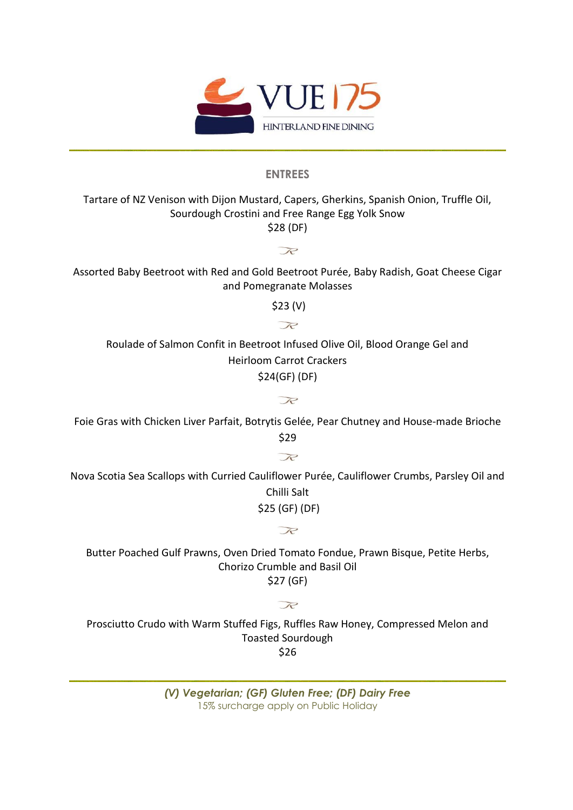

# **ENTREES**

# Tartare of NZ Venison with Dijon Mustard, Capers, Gherkins, Spanish Onion, Truffle Oil, Sourdough Crostini and Free Range Egg Yolk Snow \$28 (DF)

Assorted Baby Beetroot with Red and Gold Beetroot Purée, Baby Radish, Goat Cheese Cigar and Pomegranate Molasses

 $R$ 

 \$23 (V)  $R$ 

Roulade of Salmon Confit in Beetroot Infused Olive Oil, Blood Orange Gel and Heirloom Carrot Crackers

\$24(GF) (DF)

 $\mathcal{R}$ 

Foie Gras with Chicken Liver Parfait, Botrytis Gelée, Pear Chutney and House-made Brioche \$29

 $R$ 

Nova Scotia Sea Scallops with Curried Cauliflower Purée, Cauliflower Crumbs, Parsley Oil and Chilli Salt \$25 (GF) (DF)

 $\mathcal{R}$ 

Butter Poached Gulf Prawns, Oven Dried Tomato Fondue, Prawn Bisque, Petite Herbs, Chorizo Crumble and Basil Oil \$27 (GF)

#### R

Prosciutto Crudo with Warm Stuffed Figs, Ruffles Raw Honey, Compressed Melon and Toasted Sourdough \$26

> *(V) Vegetarian; (GF) Gluten Free; (DF) Dairy Free*  15% surcharge apply on Public Holiday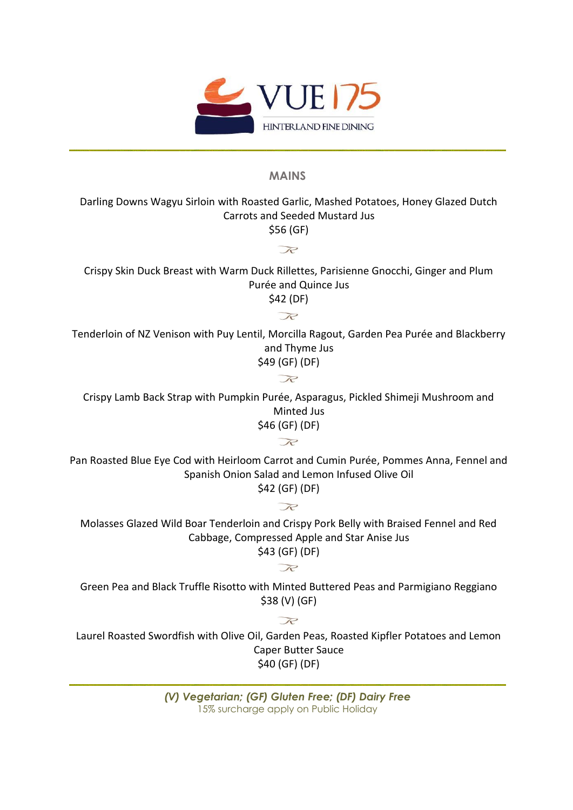

### **MAINS**

Darling Downs Wagyu Sirloin with Roasted Garlic, Mashed Potatoes, Honey Glazed Dutch Carrots and Seeded Mustard Jus

\$56 (GF)  $\mathcal{R}$ 

Crispy Skin Duck Breast with Warm Duck Rillettes, Parisienne Gnocchi, Ginger and Plum Purée and Quince Jus \$42 (DF)

 $\mathcal{R}$ 

Tenderloin of NZ Venison with Puy Lentil, Morcilla Ragout, Garden Pea Purée and Blackberry and Thyme Jus

\$49 (GF) (DF)  $\mathcal{R}$ 

Crispy Lamb Back Strap with Pumpkin Purée, Asparagus, Pickled Shimeji Mushroom and Minted Jus \$46 (GF) (DF)

 $R$ 

Pan Roasted Blue Eye Cod with Heirloom Carrot and Cumin Purée, Pommes Anna, Fennel and Spanish Onion Salad and Lemon Infused Olive Oil \$42 (GF) (DF)

Molasses Glazed Wild Boar Tenderloin and Crispy Pork Belly with Braised Fennel and Red Cabbage, Compressed Apple and Star Anise Jus \$43 (GF) (DF)

 $R$ 

 $R$ 

Green Pea and Black Truffle Risotto with Minted Buttered Peas and Parmigiano Reggiano \$38 (V) (GF)

 $R$ 

Laurel Roasted Swordfish with Olive Oil, Garden Peas, Roasted Kipfler Potatoes and Lemon Caper Butter Sauce \$40 (GF) (DF)

> *(V) Vegetarian; (GF) Gluten Free; (DF) Dairy Free*  15% surcharge apply on Public Holiday